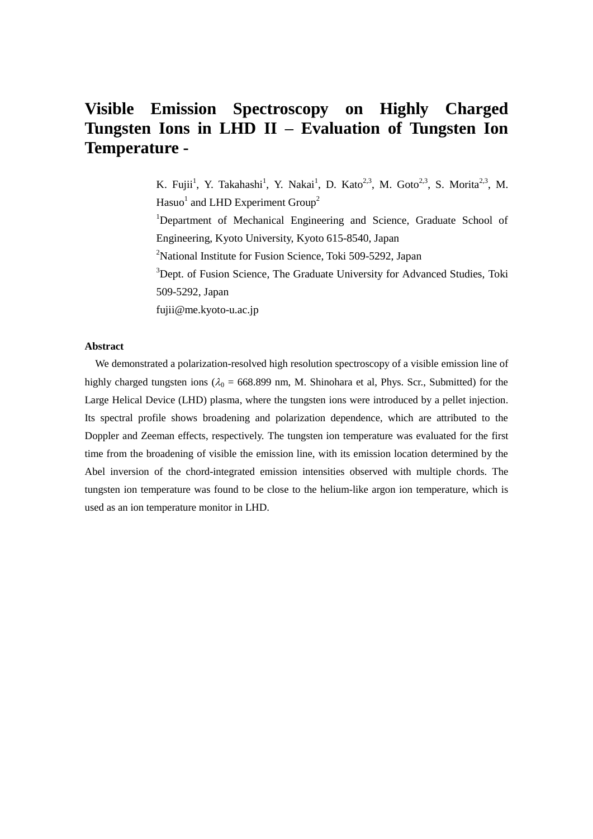# **Visible Emission Spectroscopy on Highly Charged Tungsten Ions in LHD II – Evaluation of Tungsten Ion Temperature -**

K. Fujii<sup>1</sup>, Y. Takahashi<sup>1</sup>, Y. Nakai<sup>1</sup>, D. Kato<sup>2,3</sup>, M. Goto<sup>2,3</sup>, S. Morita<sup>2,3</sup>, M. Hasuo<sup>1</sup> and LHD Experiment Group<sup>2</sup> <sup>1</sup>Department of Mechanical Engineering and Science, Graduate School of Engineering, Kyoto University, Kyoto 615-8540, Japan <sup>2</sup>National Institute for Fusion Science, Toki 509-5292, Japan

<sup>3</sup>Dept. of Fusion Science, The Graduate University for Advanced Studies, Toki 509-5292, Japan

fujii@me.kyoto-u.ac.jp

# **Abstract**

We demonstrated a polarization-resolved high resolution spectroscopy of a visible emission line of highly charged tungsten ions ( $\lambda_0 = 668.899$  nm, M. Shinohara et al, Phys. Scr., Submitted) for the Large Helical Device (LHD) plasma, where the tungsten ions were introduced by a pellet injection. Its spectral profile shows broadening and polarization dependence, which are attributed to the Doppler and Zeeman effects, respectively. The tungsten ion temperature was evaluated for the first time from the broadening of visible the emission line, with its emission location determined by the Abel inversion of the chord-integrated emission intensities observed with multiple chords. The tungsten ion temperature was found to be close to the helium-like argon ion temperature, which is used as an ion temperature monitor in LHD.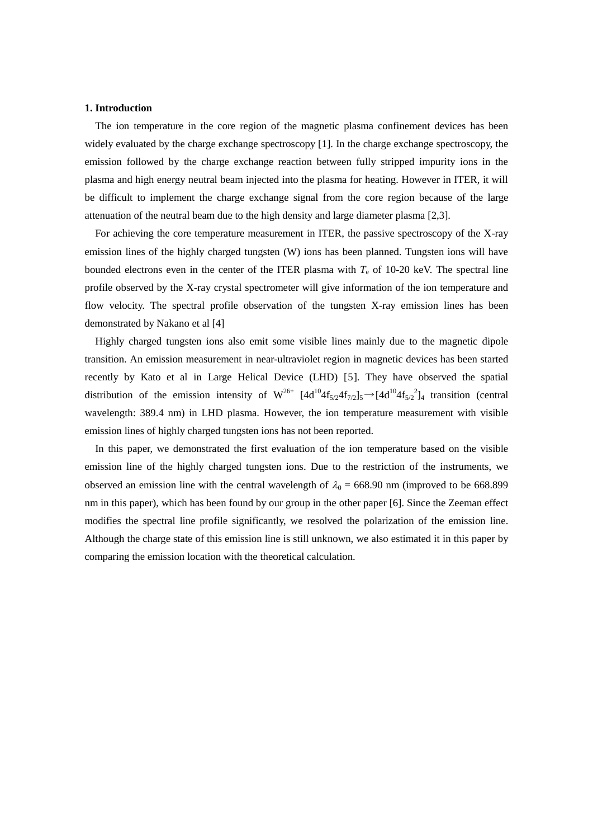#### **1. Introduction**

The ion temperature in the core region of the magnetic plasma confinement devices has been widely evaluated by the charge exchange spectroscopy [1]. In the charge exchange spectroscopy, the emission followed by the charge exchange reaction between fully stripped impurity ions in the plasma and high energy neutral beam injected into the plasma for heating. However in ITER, it will be difficult to implement the charge exchange signal from the core region because of the large attenuation of the neutral beam due to the high density and large diameter plasma [2,3].

For achieving the core temperature measurement in ITER, the passive spectroscopy of the X-ray emission lines of the highly charged tungsten (W) ions has been planned. Tungsten ions will have bounded electrons even in the center of the ITER plasma with  $T<sub>e</sub>$  of 10-20 keV. The spectral line profile observed by the X-ray crystal spectrometer will give information of the ion temperature and flow velocity. The spectral profile observation of the tungsten X-ray emission lines has been demonstrated by Nakano et al [4]

Highly charged tungsten ions also emit some visible lines mainly due to the magnetic dipole transition. An emission measurement in near-ultraviolet region in magnetic devices has been started recently by Kato et al in Large Helical Device (LHD) [5]. They have observed the spatial distribution of the emission intensity of  $W^{26+}$   $[4d^{10}4f_{5/2}4f_{7/2}]_5 \rightarrow [4d^{10}4f_{5/2}2]_4$  transition (central wavelength: 389.4 nm) in LHD plasma. However, the ion temperature measurement with visible emission lines of highly charged tungsten ions has not been reported.

<span id="page-1-0"></span>In this paper, we demonstrated the first evaluation of the ion temperature based on the visible emission line of the highly charged tungsten ions. Due to the restriction of the instruments, we observed an emission line with the central wavelength of  $\lambda_0 = 668.90$  nm (improved to be 668.899 nm in this paper), which has been found by our group in the other paper [6]. Since the Zeeman effect modifies the spectral line profile significantly, we resolved the polarization of the emission line. Although the charge state of this emission line is still unknown, we also estimated it in this paper by comparing the emission location with the theoretical calculation.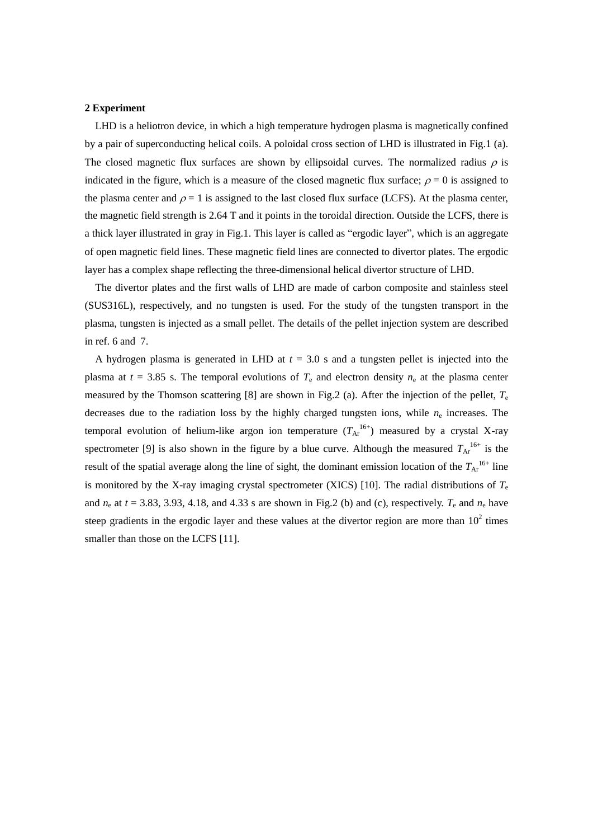#### **2 Experiment**

LHD is a heliotron device, in which a high temperature hydrogen plasma is magnetically confined by a pair of superconducting helical coils. A poloidal cross section of LHD is illustrated in [Fig.1](#page-3-0) (a). The closed magnetic flux surfaces are shown by ellipsoidal curves. The normalized radius  $\rho$  is indicated in the figure, which is a measure of the closed magnetic flux surface;  $\rho = 0$  is assigned to the plasma center and  $\rho = 1$  is assigned to the last closed flux surface (LCFS). At the plasma center, the magnetic field strength is 2.64 T and it points in the toroidal direction. Outside the LCFS, there is a thick layer illustrated in gray i[n Fig.1.](#page-3-0) This layer is called as "ergodic layer", which is an aggregate of open magnetic field lines. These magnetic field lines are connected to divertor plates. The ergodic layer has a complex shape reflecting the three-dimensional helical divertor structure of LHD.

The divertor plates and the first walls of LHD are made of carbon composite and stainless steel (SUS316L), respectively, and no tungsten is used. For the study of the tungsten transport in the plasma, tungsten is injected as a small pellet. The details of the pellet injection system are described in ref. [6](#page-1-0) and 7.

A hydrogen plasma is generated in LHD at *t* = 3.0 s and a tungsten pellet is injected into the plasma at  $t = 3.85$  s. The temporal evolutions of  $T_e$  and electron density  $n_e$  at the plasma center measured by the Thomson scattering [8] are shown in [Fig.2](#page-4-0) (a). After the injection of the pellet, *T*<sup>e</sup> decreases due to the radiation loss by the highly charged tungsten ions, while *n*<sup>e</sup> increases. The temporal evolution of helium-like argon ion temperature  $(T_{Ar}^{16+})$  measured by a crystal X-ray spectrometer [9] is also shown in the figure by a blue curve. Although the measured  $T_{Ar}^{16+}$  is the result of the spatial average along the line of sight, the dominant emission location of the  $T_{Ar}^{16+}$  line is monitored by the X-ray imaging crystal spectrometer (XICS) [10]. The radial distributions of  $T_e$ and  $n_e$  at  $t = 3.83, 3.93, 4.18,$  and 4.33 s are shown in [Fig.2](#page-4-0) (b) and (c), respectively.  $T_e$  and  $n_e$  have steep gradients in the ergodic layer and these values at the divertor region are more than  $10^2$  times smaller than those on the LCFS [11].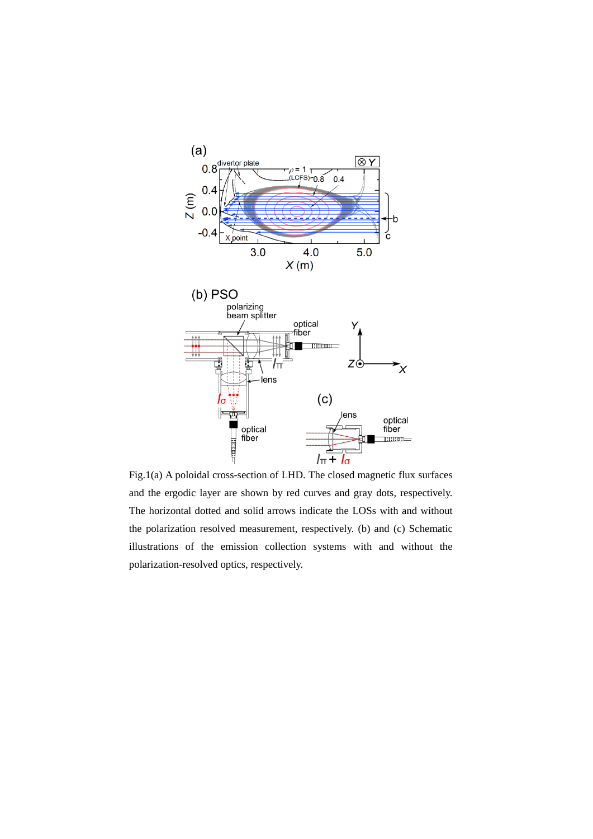

<span id="page-3-0"></span>Fig.1(a) A poloidal cross-section of LHD. The closed magnetic flux surfaces and the ergodic layer are shown by red curves and gray dots, respectively. The horizontal dotted and solid arrows indicate the LOSs with and without the polarization resolved measurement, respectively. (b) and (c) Schematic illustrations of the emission collection systems with and without the polarization-resolved optics, respectively.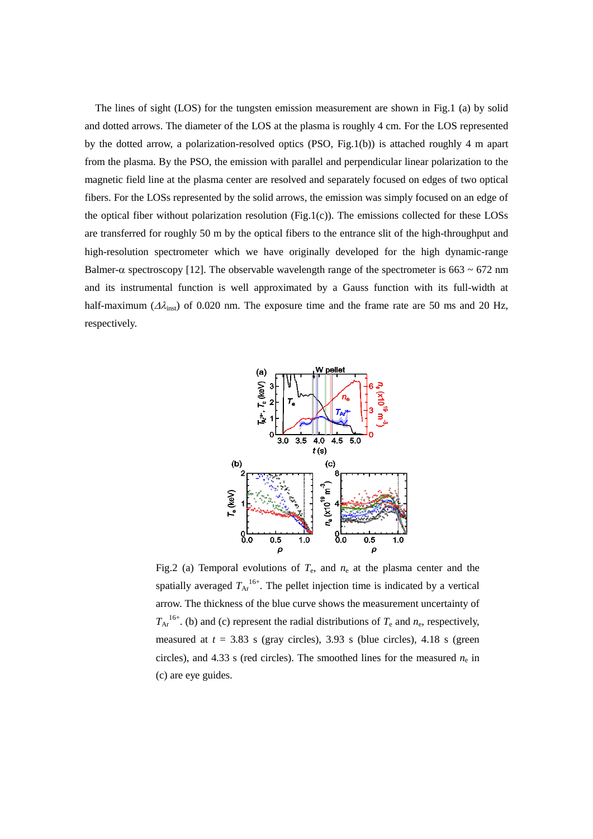The lines of sight (LOS) for the tungsten emission measurement are shown in [Fig.1](#page-3-0) (a) by solid and dotted arrows. The diameter of the LOS at the plasma is roughly 4 cm. For the LOS represented by the dotted arrow, a polarization-resolved optics (PSO, [Fig.1\(](#page-3-0)b)) is attached roughly 4 m apart from the plasma. By the PSO, the emission with parallel and perpendicular linear polarization to the magnetic field line at the plasma center are resolved and separately focused on edges of two optical fibers. For the LOSs represented by the solid arrows, the emission was simply focused on an edge of the optical fiber without polarization resolution [\(Fig.1\(](#page-3-0)c)). The emissions collected for these LOSs are transferred for roughly 50 m by the optical fibers to the entrance slit of the high-throughput and high-resolution spectrometer which we have originally developed for the high dynamic-range Balmer- $\alpha$  spectroscopy [12]. The observable wavelength range of the spectrometer is 663  $\sim$  672 nm and its instrumental function is well approximated by a Gauss function with its full-width at half-maximum ( $\Delta\lambda_{\rm inst}$ ) of 0.020 nm. The exposure time and the frame rate are 50 ms and 20 Hz, respectively.



<span id="page-4-0"></span>Fig.2 (a) Temporal evolutions of  $T_e$ , and  $n_e$  at the plasma center and the spatially averaged  $T_{Ar}^{16+}$ . The pellet injection time is indicated by a vertical arrow. The thickness of the blue curve shows the measurement uncertainty of  $T_{\text{Ar}}^{16+}$ . (b) and (c) represent the radial distributions of  $T_e$  and  $n_e$ , respectively, measured at  $t = 3.83$  s (gray circles), 3.93 s (blue circles), 4.18 s (green circles), and  $4.33$  s (red circles). The smoothed lines for the measured  $n_e$  in (c) are eye guides.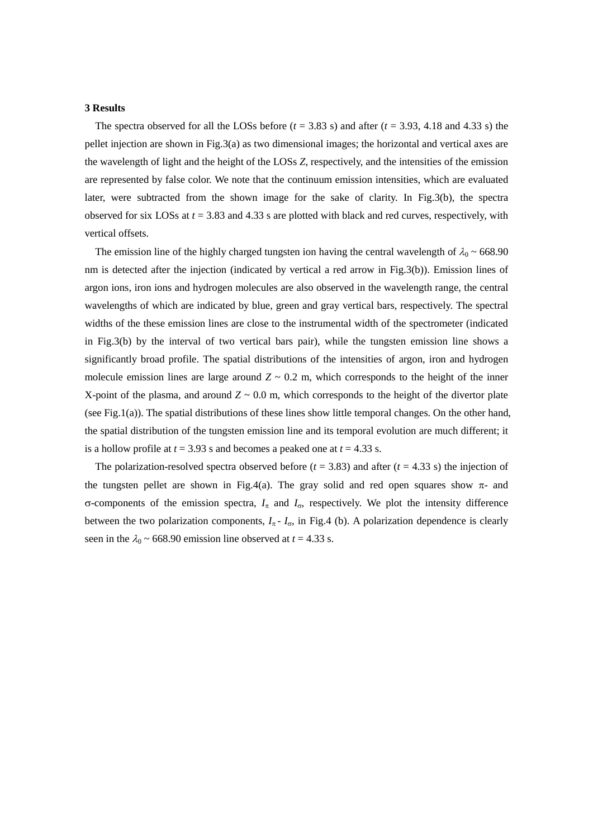#### **3 Results**

The spectra observed for all the LOSs before  $(t = 3.83 \text{ s})$  and after  $(t = 3.93, 4.18 \text{ and } 4.33 \text{ s})$  the pellet injection are shown in [Fig.3\(](#page-6-0)a) as two dimensional images; the horizontal and vertical axes are the wavelength of light and the height of the LOSs *Z*, respectively, and the intensities of the emission are represented by false color. We note that the continuum emission intensities, which are evaluated later, were subtracted from the shown image for the sake of clarity. In [Fig.3\(](#page-6-0)b), the spectra observed for six LOSs at *t* = 3.83 and 4.33 s are plotted with black and red curves, respectively, with vertical offsets.

The emission line of the highly charged tungsten ion having the central wavelength of  $\lambda_0 \sim 668.90$ nm is detected after the injection (indicated by vertical a red arrow in [Fig.3\(](#page-6-0)b)). Emission lines of argon ions, iron ions and hydrogen molecules are also observed in the wavelength range, the central wavelengths of which are indicated by blue, green and gray vertical bars, respectively. The spectral widths of the these emission lines are close to the instrumental width of the spectrometer (indicated in [Fig.3\(](#page-6-0)b) by the interval of two vertical bars pair), while the tungsten emission line shows a significantly broad profile. The spatial distributions of the intensities of argon, iron and hydrogen molecule emission lines are large around  $Z \sim 0.2$  m, which corresponds to the height of the inner X-point of the plasma, and around  $Z \sim 0.0$  m, which corresponds to the height of the divertor plate (se[e Fig.1\(](#page-3-0)a)). The spatial distributions of these lines show little temporal changes. On the other hand, the spatial distribution of the tungsten emission line and its temporal evolution are much different; it is a hollow profile at  $t = 3.93$  s and becomes a peaked one at  $t = 4.33$  s.

The polarization-resolved spectra observed before  $(t = 3.83)$  and after  $(t = 4.33 \text{ s})$  the injection of the tungsten pellet are shown in [Fig.4\(](#page-7-0)a). The gray solid and red open squares show  $\pi$ - and  $\sigma$ -components of the emission spectra,  $I_{\pi}$  and  $I_{\sigma}$ , respectively. We plot the intensity difference between the two polarization components,  $I_{\pi}$ - $I_{\sigma}$ , in [Fig.4](#page-7-0) (b). A polarization dependence is clearly seen in the  $\lambda_0 \sim 668.90$  emission line observed at  $t = 4.33$  s.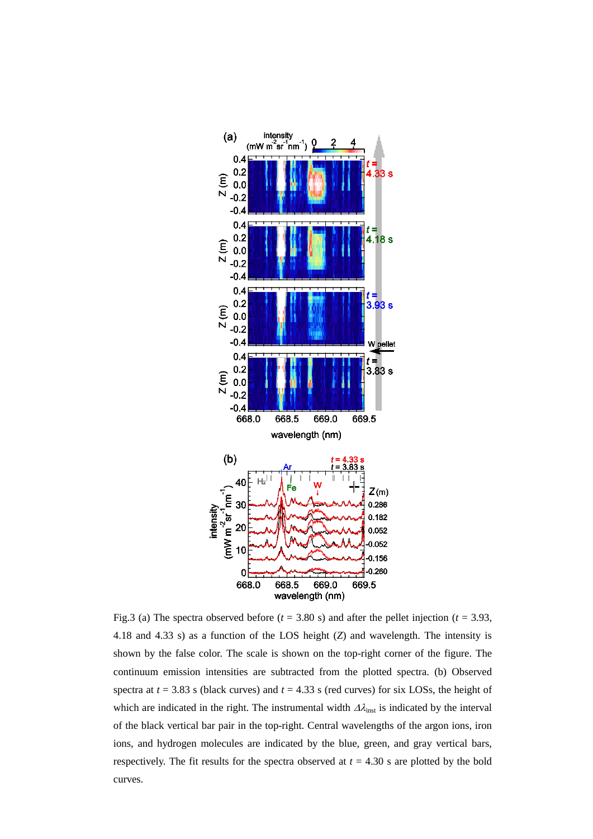

<span id="page-6-0"></span>Fig.3 (a) The spectra observed before  $(t = 3.80 \text{ s})$  and after the pellet injection  $(t = 3.93,$ 4.18 and 4.33 s) as a function of the LOS height (*Z*) and wavelength. The intensity is shown by the false color. The scale is shown on the top-right corner of the figure. The continuum emission intensities are subtracted from the plotted spectra. (b) Observed spectra at *t* = 3.83 s (black curves) and *t* = 4.33 s (red curves) for six LOSs, the height of which are indicated in the right. The instrumental width  $\Delta \lambda_{\rm inst}$  is indicated by the interval of the black vertical bar pair in the top-right. Central wavelengths of the argon ions, iron ions, and hydrogen molecules are indicated by the blue, green, and gray vertical bars, respectively. The fit results for the spectra observed at  $t = 4.30$  s are plotted by the bold curves.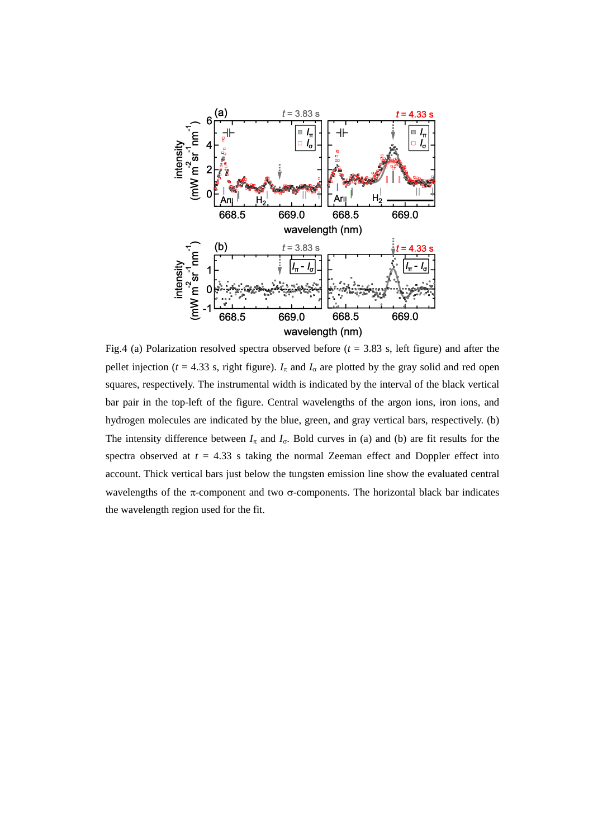

<span id="page-7-0"></span>Fig.4 (a) Polarization resolved spectra observed before  $(t = 3.83 \text{ s}$ , left figure) and after the pellet injection ( $t = 4.33$  s, right figure).  $I_{\pi}$  and  $I_{\sigma}$  are plotted by the gray solid and red open squares, respectively. The instrumental width is indicated by the interval of the black vertical bar pair in the top-left of the figure. Central wavelengths of the argon ions, iron ions, and hydrogen molecules are indicated by the blue, green, and gray vertical bars, respectively. (b) The intensity difference between  $I_{\pi}$  and  $I_{\sigma}$ . Bold curves in (a) and (b) are fit results for the spectra observed at  $t = 4.33$  s taking the normal Zeeman effect and Doppler effect into account. Thick vertical bars just below the tungsten emission line show the evaluated central wavelengths of the  $\pi$ -component and two  $\sigma$ -components. The horizontal black bar indicates the wavelength region used for the fit.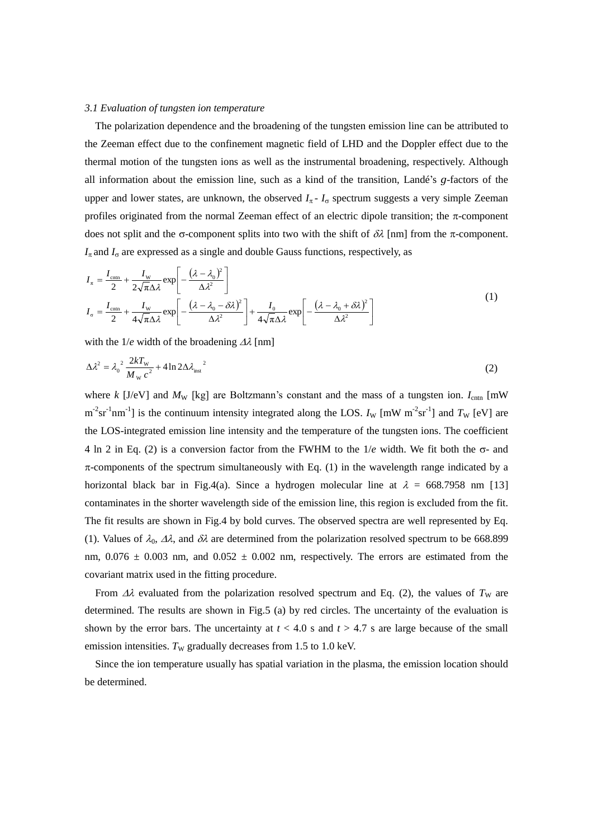### *3.1 Evaluation of tungsten ion temperature*

The polarization dependence and the broadening of the tungsten emission line can be attributed to the Zeeman effect due to the confinement magnetic field of LHD and the Doppler effect due to the thermal motion of the tungsten ions as well as the instrumental broadening, respectively. Although all information about the emission line, such as a kind of the transition, Landé's *g*-factors of the upper and lower states, are unknown, the observed  $I_{\pi}$  -  $I_{\sigma}$  spectrum suggests a very simple Zeeman profiles originated from the normal Zeeman effect of an electric dipole transition; the  $\pi$ -component does not split and the  $\sigma$ -component splits into two with the shift of  $\delta\lambda$  [nm] from the  $\pi$ -component.  $I_{\pi}$  and  $I_{\sigma}$  are expressed as a single and double Gauss functions, respectively, as

<span id="page-8-1"></span>
$$
I_{\pi} = \frac{I_{\text{cntn}}}{2} + \frac{I_{\text{w}}}{2\sqrt{\pi}\Delta\lambda} \exp\left[-\frac{(\lambda - \lambda_0)^2}{\Delta\lambda^2}\right]
$$
  
\n
$$
I_{\sigma} = \frac{I_{\text{cntn}}}{2} + \frac{I_{\text{w}}}{4\sqrt{\pi}\Delta\lambda} \exp\left[-\frac{(\lambda - \lambda_0 - \delta\lambda)^2}{\Delta\lambda^2}\right] + \frac{I_0}{4\sqrt{\pi}\Delta\lambda} \exp\left[-\frac{(\lambda - \lambda_0 + \delta\lambda)^2}{\Delta\lambda^2}\right]
$$
\n(1)

with the  $1/e$  width of the broadening  $\Delta\lambda$  [nm]

<span id="page-8-0"></span>
$$
\Delta \lambda^2 = \lambda_0^2 \frac{2kT_{\rm w}}{M_{\rm w} c^2} + 4\ln 2\Delta \lambda_{\rm inst}^2 \tag{2}
$$

where *k* [J/eV] and  $M_W$  [kg] are Boltzmann's constant and the mass of a tungsten ion.  $I_{\text{cntn}}$  [mW  $m^{-2}sr^{-1}nm^{-1}$ ] is the continuum intensity integrated along the LOS. *I<sub>W</sub>* [mW m<sup>-2</sup>sr<sup>-1</sup>] and *T<sub>W</sub>* [eV] are the LOS-integrated emission line intensity and the temperature of the tungsten ions. The coefficient 4 ln 2 in Eq. [\(2\)](#page-8-0) is a conversion factor from the FWHM to the  $1/e$  width. We fit both the  $\sigma$ - and  $\pi$ -components of the spectrum simultaneously with Eq. [\(1\)](#page-8-1) in the wavelength range indicated by a horizontal black bar in [Fig.4\(](#page-7-0)a). Since a hydrogen molecular line at  $\lambda = 668.7958$  nm [13] contaminates in the shorter wavelength side of the emission line, this region is excluded from the fit. The fit results are shown in [Fig.4](#page-7-0) by bold curves. The observed spectra are well represented by Eq. [\(1\).](#page-8-1) Values of  $\lambda_0$ ,  $\Delta\lambda$ , and  $\delta\lambda$  are determined from the polarization resolved spectrum to be 668.899 nm,  $0.076 \pm 0.003$  nm, and  $0.052 \pm 0.002$  nm, respectively. The errors are estimated from the covariant matrix used in the fitting procedure.

From  $\Delta\lambda$  evaluated from the polarization resolved spectrum and Eq. [\(2\)](#page-8-0), the values of  $T_W$  are determined. The results are shown in [Fig.5](#page-9-0) (a) by red circles. The uncertainty of the evaluation is shown by the error bars. The uncertainty at  $t < 4.0$  s and  $t > 4.7$  s are large because of the small emission intensities.  $T_{\text{W}}$  gradually decreases from 1.5 to 1.0 keV.

Since the ion temperature usually has spatial variation in the plasma, the emission location should be determined.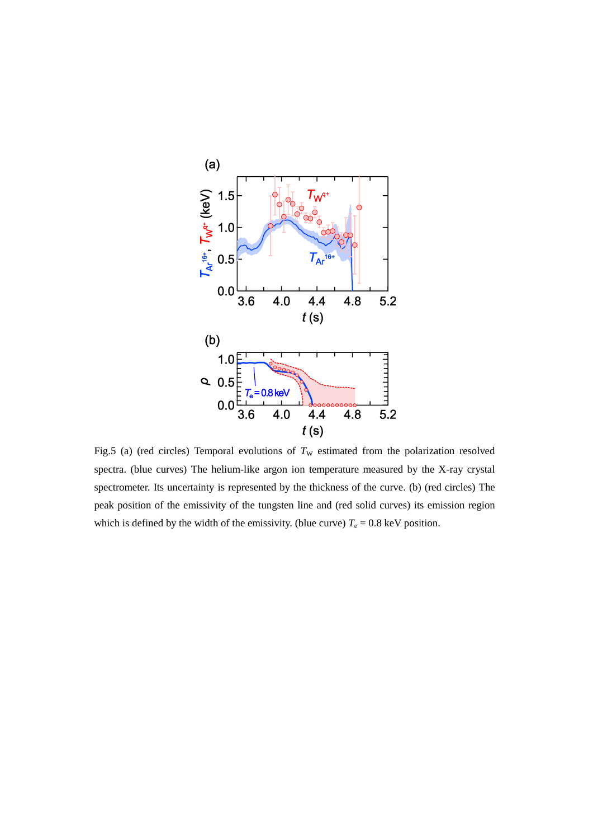

<span id="page-9-0"></span>Fig.5 (a) (red circles) Temporal evolutions of  $T_W$  estimated from the polarization resolved spectra. (blue curves) The helium-like argon ion temperature measured by the X-ray crystal spectrometer. Its uncertainty is represented by the thickness of the curve. (b) (red circles) The peak position of the emissivity of the tungsten line and (red solid curves) its emission region which is defined by the width of the emissivity. (blue curve)  $T_e = 0.8 \text{ keV}$  position.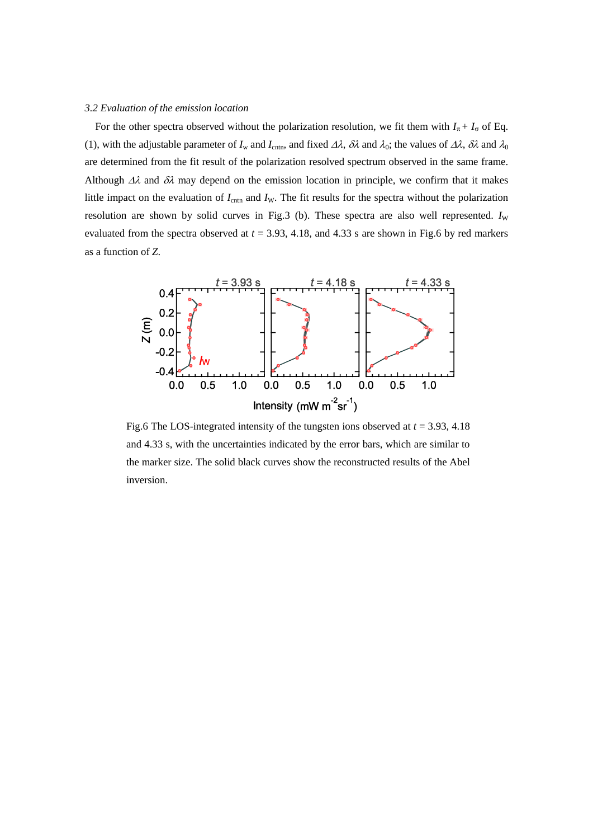# *3.2 Evaluation of the emission location*

For the other spectra observed without the polarization resolution, we fit them with  $I_{\pi} + I_{\sigma}$  of Eq. [\(1\),](#page-8-1) with the adjustable parameter of  $I_w$  and  $I_{\text{cntn}}$ , and fixed  $\Delta\lambda$ ,  $\delta\lambda$  and  $\lambda_0$ ; the values of  $\Delta\lambda$ ,  $\delta\lambda$  and  $\lambda_0$ are determined from the fit result of the polarization resolved spectrum observed in the same frame. Although  $\Delta\lambda$  and  $\delta\lambda$  may depend on the emission location in principle, we confirm that it makes little impact on the evaluation of  $I_{\text{cntn}}$  and  $I_{\text{W}}$ . The fit results for the spectra without the polarization resolution are shown by solid curves in [Fig.3](#page-6-0) (b). These spectra are also well represented.  $I_W$ evaluated from the spectra observed at  $t = 3.93$ , 4.18, and 4.33 s are shown in [Fig.6](#page-10-0) by red markers as a function of *Z*.



<span id="page-10-0"></span>Fig.6 The LOS-integrated intensity of the tungsten ions observed at *t* = 3.93, 4.18 and 4.33 s, with the uncertainties indicated by the error bars, which are similar to the marker size. The solid black curves show the reconstructed results of the Abel inversion.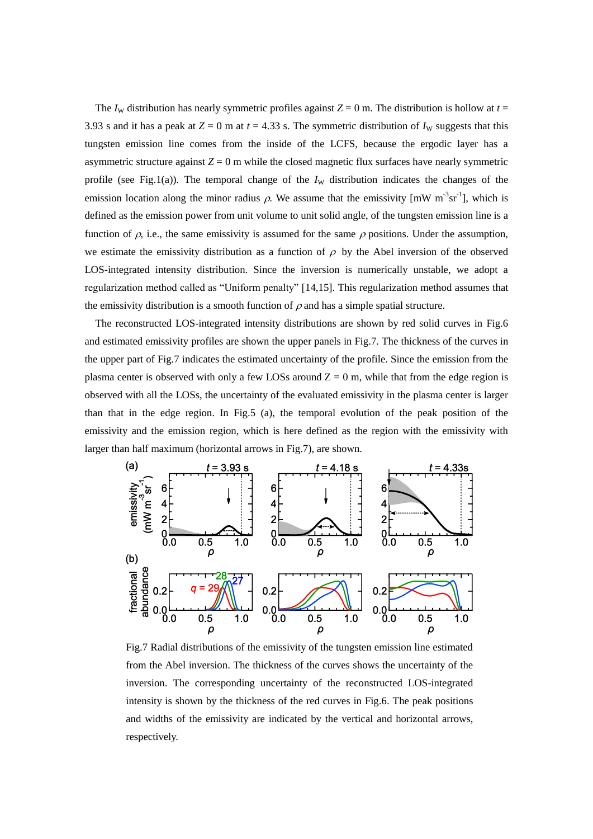The  $I_W$  distribution has nearly symmetric profiles against  $Z = 0$  m. The distribution is hollow at  $t =$ 3.93 s and it has a peak at  $Z = 0$  m at  $t = 4.33$  s. The symmetric distribution of  $I_w$  suggests that this tungsten emission line comes from the inside of the LCFS, because the ergodic layer has a asymmetric structure against  $Z = 0$  m while the closed magnetic flux surfaces have nearly symmetric profile (see [Fig.1\(](#page-3-0)a)). The temporal change of the  $I_W$  distribution indicates the changes of the emission location along the minor radius  $\rho$ . We assume that the emissivity [mW m<sup>-3</sup>sr<sup>-1</sup>], which is defined as the emission power from unit volume to unit solid angle, of the tungsten emission line is a function of  $\rho$ , i.e., the same emissivity is assumed for the same  $\rho$  positions. Under the assumption, we estimate the emissivity distribution as a function of  $\rho$  by the Abel inversion of the observed LOS-integrated intensity distribution. Since the inversion is numerically unstable, we adopt a regularization method called as "Uniform penalty" [14,15]. This regularization method assumes that the emissivity distribution is a smooth function of  $\rho$  and has a simple spatial structure.

The reconstructed LOS-integrated intensity distributions are shown by red solid curves in [Fig.6](#page-10-0) and estimated emissivity profiles are shown the upper panels in [Fig.7.](#page-11-0) The thickness of the curves in the upper part of [Fig.7](#page-11-0) indicates the estimated uncertainty of the profile. Since the emission from the plasma center is observed with only a few LOSs around  $Z = 0$  m, while that from the edge region is observed with all the LOSs, the uncertainty of the evaluated emissivity in the plasma center is larger than that in the edge region. In [Fig.5](#page-9-0) (a), the temporal evolution of the peak position of the emissivity and the emission region, which is here defined as the region with the emissivity with larger than half maximum (horizontal arrows in [Fig.7\)](#page-11-0), are shown.



<span id="page-11-0"></span>Fig.7 Radial distributions of the emissivity of the tungsten emission line estimated from the Abel inversion. The thickness of the curves shows the uncertainty of the inversion. The corresponding uncertainty of the reconstructed LOS-integrated intensity is shown by the thickness of the red curves in [Fig.6.](#page-10-0) The peak positions and widths of the emissivity are indicated by the vertical and horizontal arrows, respectively.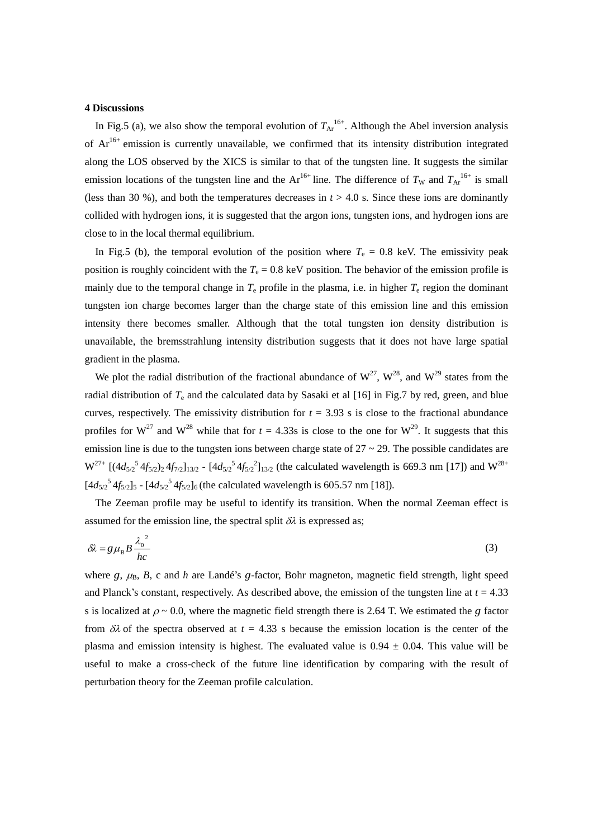# **4 Discussions**

In [Fig.5](#page-9-0) (a), we also show the temporal evolution of  $T_{Ar}^{16+}$ . Although the Abel inversion analysis of  $Ar^{16+}$  emission is currently unavailable, we confirmed that its intensity distribution integrated along the LOS observed by the XICS is similar to that of the tungsten line. It suggests the similar emission locations of the tungsten line and the  $Ar^{16+}$  line. The difference of  $T_W$  and  $T_{Ar}^{16+}$  is small (less than 30 %), and both the temperatures decreases in  $t > 4.0$  s. Since these ions are dominantly collided with hydrogen ions, it is suggested that the argon ions, tungsten ions, and hydrogen ions are close to in the local thermal equilibrium.

In [Fig.5](#page-9-0) (b), the temporal evolution of the position where  $T_e = 0.8$  keV. The emissivity peak position is roughly coincident with the  $T_e = 0.8 \text{ keV}$  position. The behavior of the emission profile is mainly due to the temporal change in  $T_e$  profile in the plasma, i.e. in higher  $T_e$  region the dominant tungsten ion charge becomes larger than the charge state of this emission line and this emission intensity there becomes smaller. Although that the total tungsten ion density distribution is unavailable, the bremsstrahlung intensity distribution suggests that it does not have large spatial gradient in the plasma.

We plot the radial distribution of the fractional abundance of  $W^{27}$ ,  $W^{28}$ , and  $W^{29}$  states from the radial distribution of *T*<sup>e</sup> and the calculated data by Sasaki et al [16] in [Fig.7](#page-11-0) by red, green, and blue curves, respectively. The emissivity distribution for  $t = 3.93$  s is close to the fractional abundance profiles for  $W^{27}$  and  $W^{28}$  while that for  $t = 4.33s$  is close to the one for  $W^{29}$ . It suggests that this emission line is due to the tungsten ions between charge state of  $27 \sim 29$ . The possible candidates are  $W^{27+}$  [(4 $d_{5/2}$ <sup>5</sup> 4*f*<sub>5/2</sub>)<sub>2</sub> 4*f*<sub>7/2</sub>]<sub>13/2</sub> - [4 $d_{5/2}$ <sup>5</sup> 4*f*<sub>5/2</sub><sup>3</sup>]<sub>13/2</sub> (the calculated wavelength is 669.3 nm [17]) and W<sup>28+</sup>  $[4d_{5/2}^5$ <sup>5</sup> $4f_{5/2}$ ]<sub>5</sub> -  $[4d_{5/2}^5$ <sup>5</sup> $4f_{5/2}$ ]<sub>6</sub> (the calculated wavelength is 605.57 nm [18]).

The Zeeman profile may be useful to identify its transition. When the normal Zeeman effect is assumed for the emission line, the spectral split  $\delta \lambda$  is expressed as;

$$
\delta \lambda = g \mu_{\rm B} B \frac{\lambda_0^2}{hc} \tag{3}
$$

where  $g$ ,  $\mu_B$ ,  $B$ ,  $c$  and  $h$  are Landé's  $g$ -factor, Bohr magneton, magnetic field strength, light speed and Planck's constant, respectively. As described above, the emission of the tungsten line at  $t = 4.33$ s is localized at  $\rho \sim 0.0$ , where the magnetic field strength there is 2.64 T. We estimated the *g* factor from  $\delta\lambda$  of the spectra observed at  $t = 4.33$  s because the emission location is the center of the plasma and emission intensity is highest. The evaluated value is  $0.94 \pm 0.04$ . This value will be useful to make a cross-check of the future line identification by comparing with the result of perturbation theory for the Zeeman profile calculation.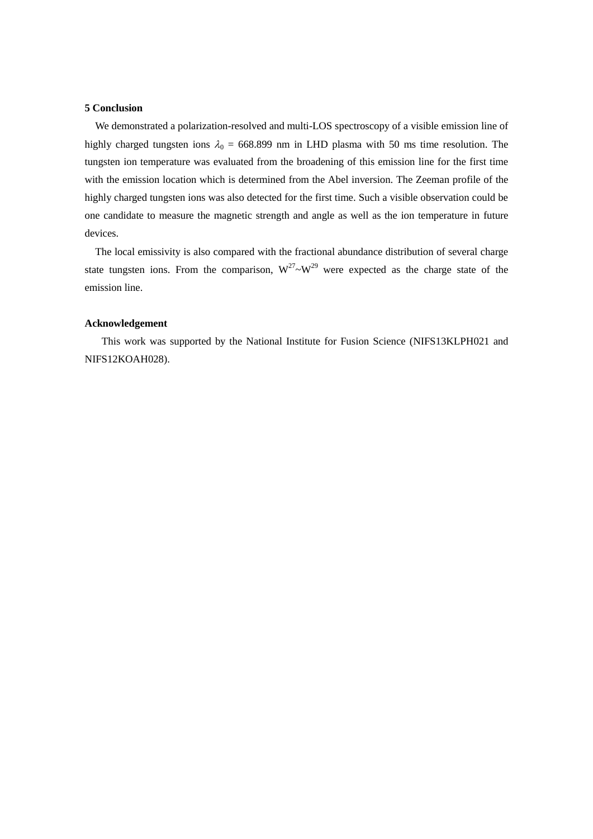# **5 Conclusion**

We demonstrated a polarization-resolved and multi-LOS spectroscopy of a visible emission line of highly charged tungsten ions  $\lambda_0 = 668.899$  nm in LHD plasma with 50 ms time resolution. The tungsten ion temperature was evaluated from the broadening of this emission line for the first time with the emission location which is determined from the Abel inversion. The Zeeman profile of the highly charged tungsten ions was also detected for the first time. Such a visible observation could be one candidate to measure the magnetic strength and angle as well as the ion temperature in future devices.

The local emissivity is also compared with the fractional abundance distribution of several charge state tungsten ions. From the comparison,  $W^{27}$ ~ $W^{29}$  were expected as the charge state of the emission line.

# **Acknowledgement**

This work was supported by the National Institute for Fusion Science (NIFS13KLPH021 and NIFS12KOAH028).